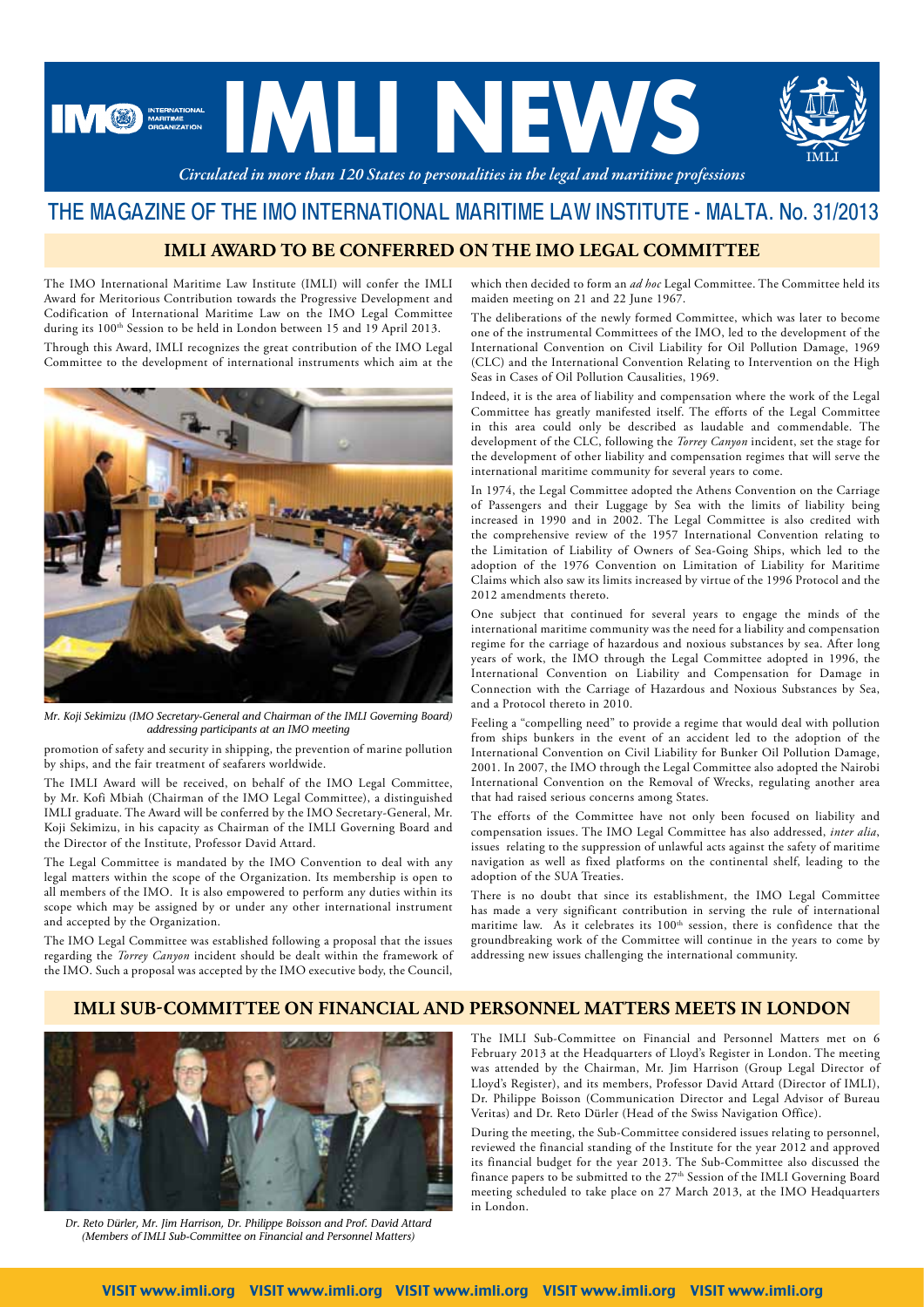

# THE MAGAZINE OF THE IMO INTERNATIONAL MARITIME LAW INSTITUTE - MALTA. No. 31/2013

### **IMLI AWARD TO BE CONFERRED ON THE IMO LEGAL COMMITTEE**

The IMO International Maritime Law Institute (IMLI) will confer the IMLI Award for Meritorious Contribution towards the Progressive Development and Codification of International Maritime Law on the IMO Legal Committee during its  $100^{\text{th}}$  Session to be held in London between 15 and 19 April 2013. Through this Award, IMLI recognizes the great contribution of the IMO Legal

Committee to the development of international instruments which aim at the



*Mr. Koji Sekimizu (IMO Secretary-General and Chairman of the IMLI Governing Board) addressing participants at an IMO meeting*

promotion of safety and security in shipping, the prevention of marine pollution by ships, and the fair treatment of seafarers worldwide.

The IMLI Award will be received, on behalf of the IMO Legal Committee, by Mr. Kofi Mbiah (Chairman of the IMO Legal Committee), a distinguished IMLI graduate. The Award will be conferred by the IMO Secretary-General, Mr. Koji Sekimizu, in his capacity as Chairman of the IMLI Governing Board and the Director of the Institute, Professor David Attard.

The Legal Committee is mandated by the IMO Convention to deal with any legal matters within the scope of the Organization. Its membership is open to all members of the IMO. It is also empowered to perform any duties within its scope which may be assigned by or under any other international instrument and accepted by the Organization.

The IMO Legal Committee was established following a proposal that the issues regarding the *Torrey Canyon* incident should be dealt within the framework of the IMO. Such a proposal was accepted by the IMO executive body, the Council,

which then decided to form an *ad hoc* Legal Committee. The Committee held its maiden meeting on 21 and 22 June 1967.

The deliberations of the newly formed Committee, which was later to become one of the instrumental Committees of the IMO, led to the development of the International Convention on Civil Liability for Oil Pollution Damage, 1969 (CLC) and the International Convention Relating to Intervention on the High Seas in Cases of Oil Pollution Causalities, 1969.

Indeed, it is the area of liability and compensation where the work of the Legal Committee has greatly manifested itself. The efforts of the Legal Committee in this area could only be described as laudable and commendable. The development of the CLC, following the *Torrey Canyon* incident, set the stage for the development of other liability and compensation regimes that will serve the international maritime community for several years to come.

In 1974, the Legal Committee adopted the Athens Convention on the Carriage of Passengers and their Luggage by Sea with the limits of liability being increased in 1990 and in 2002. The Legal Committee is also credited with the comprehensive review of the 1957 International Convention relating to the Limitation of Liability of Owners of Sea-Going Ships, which led to the adoption of the 1976 Convention on Limitation of Liability for Maritime Claims which also saw its limits increased by virtue of the 1996 Protocol and the 2012 amendments thereto.

One subject that continued for several years to engage the minds of the international maritime community was the need for a liability and compensation regime for the carriage of hazardous and noxious substances by sea. After long years of work, the IMO through the Legal Committee adopted in 1996, the International Convention on Liability and Compensation for Damage in Connection with the Carriage of Hazardous and Noxious Substances by Sea, and a Protocol thereto in 2010.

Feeling a "compelling need" to provide a regime that would deal with pollution from ships bunkers in the event of an accident led to the adoption of the International Convention on Civil Liability for Bunker Oil Pollution Damage, 2001. In 2007, the IMO through the Legal Committee also adopted the Nairobi International Convention on the Removal of Wrecks, regulating another area that had raised serious concerns among States.

The efforts of the Committee have not only been focused on liability and compensation issues. The IMO Legal Committee has also addressed, *inter alia*, issues relating to the suppression of unlawful acts against the safety of maritime navigation as well as fixed platforms on the continental shelf, leading to the adoption of the SUA Treaties.

There is no doubt that since its establishment, the IMO Legal Committee has made a very significant contribution in serving the rule of international maritime law. As it celebrates its  $100<sup>th</sup>$  session, there is confidence that the groundbreaking work of the Committee will continue in the years to come by addressing new issues challenging the international community.

#### **IMLI SUB-COMMITTEE ON FINANCIAL AND PERSONNEL MATTERS MEETS IN LONDON**



*Dr. Reto Dürler, Mr. Jim Harrison, Dr. Philippe Boisson and Prof. David Attard (Members of IMLI Sub-Committee on Financial and Personnel Matters)*

The IMLI Sub-Committee on Financial and Personnel Matters met on 6 February 2013 at the Headquarters of Lloyd's Register in London. The meeting was attended by the Chairman, Mr. Jim Harrison (Group Legal Director of Lloyd's Register), and its members, Professor David Attard (Director of IMLI), Dr. Philippe Boisson (Communication Director and Legal Advisor of Bureau Veritas) and Dr. Reto Dürler (Head of the Swiss Navigation Office).

During the meeting, the Sub-Committee considered issues relating to personnel, reviewed the financial standing of the Institute for the year 2012 and approved its financial budget for the year 2013. The Sub-Committee also discussed the finance papers to be submitted to the 27<sup>th</sup> Session of the IMLI Governing Board meeting scheduled to take place on 27 March 2013, at the IMO Headquarters in London.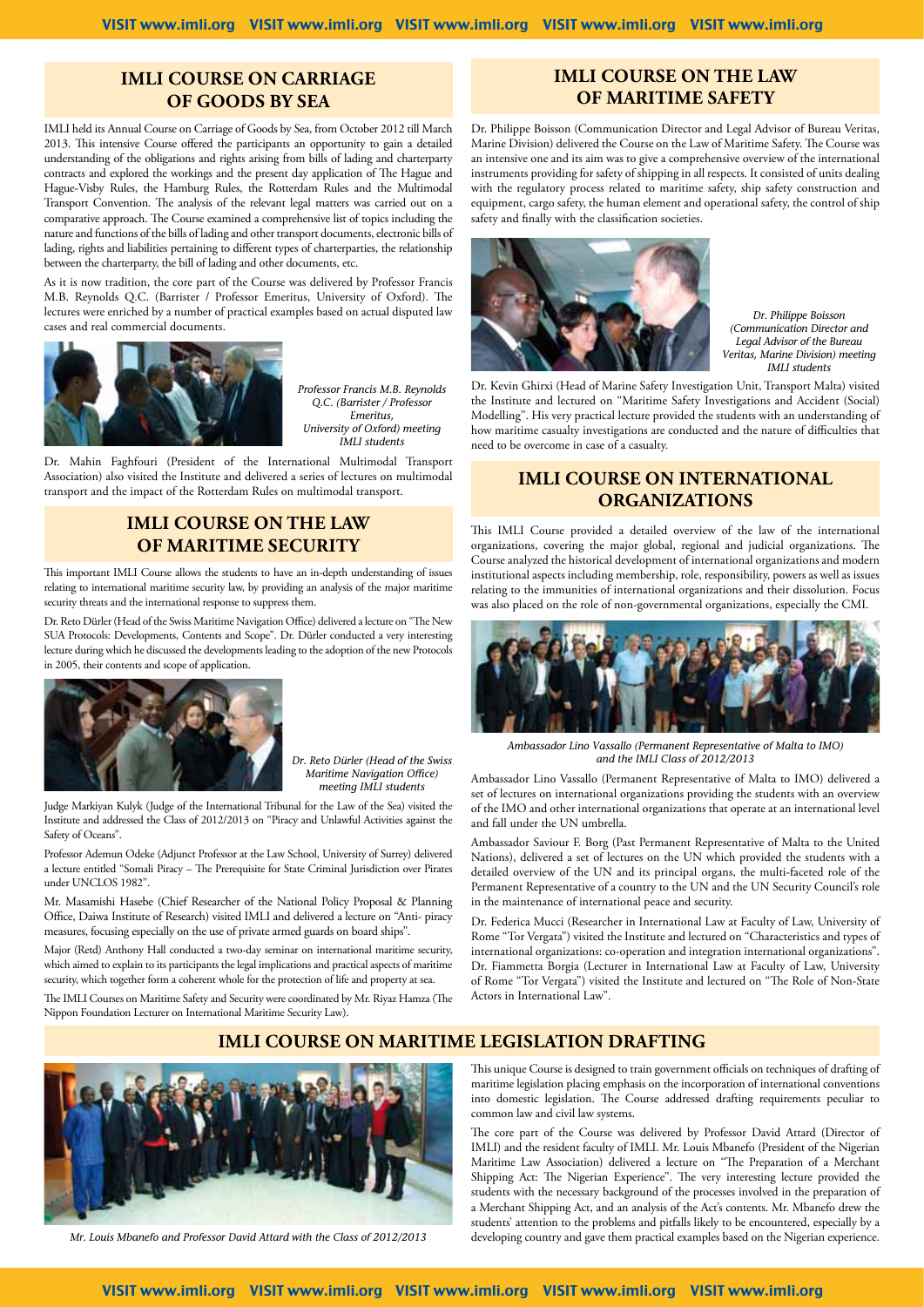#### **IMLI COURSE ON CARRIAGE OF GOODS BY SEA**

IMLI held its Annual Course on Carriage of Goods by Sea, from October 2012 till March 2013. This intensive Course offered the participants an opportunity to gain a detailed understanding of the obligations and rights arising from bills of lading and charterparty contracts and explored the workings and the present day application of The Hague and Hague-Visby Rules, the Hamburg Rules, the Rotterdam Rules and the Multimodal Transport Convention. The analysis of the relevant legal matters was carried out on a comparative approach. The Course examined a comprehensive list of topics including the nature and functions of the bills of lading and other transport documents, electronic bills of lading, rights and liabilities pertaining to different types of charterparties, the relationship between the charterparty, the bill of lading and other documents, etc.

As it is now tradition, the core part of the Course was delivered by Professor Francis M.B. Reynolds Q.C. (Barrister / Professor Emeritus, University of Oxford). The lectures were enriched by a number of practical examples based on actual disputed law cases and real commercial documents.



*Professor Francis M.B. Reynolds Q.C. (Barrister / Professor Emeritus, University of Oxford) meeting IMLI students* 

Dr. Mahin Faghfouri (President of the International Multimodal Transport Association) also visited the Institute and delivered a series of lectures on multimodal transport and the impact of the Rotterdam Rules on multimodal transport.

#### **IMLI COURSE ON THE LAW OF MARITIME SECURITY**

This important IMLI Course allows the students to have an in-depth understanding of issues relating to international maritime security law, by providing an analysis of the major maritime security threats and the international response to suppress them.

Dr. Reto Dürler (Head of the Swiss Maritime Navigation Office) delivered a lecture on "The New SUA Protocols: Developments, Contents and Scope". Dr. Dürler conducted a very interesting lecture during which he discussed the developments leading to the adoption of the new Protocols in 2005, their contents and scope of application.



*Dr. Reto Dürler (Head of the Swiss Maritime Navigation Office) meeting IMLI students*

Judge Markiyan Kulyk (Judge of the International Tribunal for the Law of the Sea) visited the Institute and addressed the Class of 2012/2013 on "Piracy and Unlawful Activities against the Safety of Oceans".

Professor Ademun Odeke (Adjunct Professor at the Law School, University of Surrey) delivered a lecture entitled "Somali Piracy – The Prerequisite for State Criminal Jurisdiction over Pirates under UNCLOS 1982".

Mr. Masamishi Hasebe (Chief Researcher of the National Policy Proposal & Planning Office, Daiwa Institute of Research) visited IMLI and delivered a lecture on "Anti- piracy measures, focusing especially on the use of private armed guards on board ships".

Major (Retd) Anthony Hall conducted a two-day seminar on international maritime security, which aimed to explain to its participants the legal implications and practical aspects of maritime security, which together form a coherent whole for the protection of life and property at sea.

The IMLI Courses on Maritime Safety and Security were coordinated by Mr. Riyaz Hamza (The Nippon Foundation Lecturer on International Maritime Security Law).

## **IMLI COURSE ON THE LAW OF MARITIME SAFETY**

Dr. Philippe Boisson (Communication Director and Legal Advisor of Bureau Veritas, Marine Division) delivered the Course on the Law of Maritime Safety. The Course was an intensive one and its aim was to give a comprehensive overview of the international instruments providing for safety of shipping in all respects. It consisted of units dealing with the regulatory process related to maritime safety, ship safety construction and equipment, cargo safety, the human element and operational safety, the control of ship safety and finally with the classification societies.



*Dr. Philippe Boisson (Communication Director and Legal Advisor of the Bureau Veritas, Marine Division) meeting IMLI students*

Dr. Kevin Ghirxi (Head of Marine Safety Investigation Unit, Transport Malta) visited the Institute and lectured on "Maritime Safety Investigations and Accident (Social) Modelling". His very practical lecture provided the students with an understanding of how maritime casualty investigations are conducted and the nature of difficulties that need to be overcome in case of a casualty.

### **IMLI COURSE ON INTERNATIONAL ORGANIZATIONS**

This IMLI Course provided a detailed overview of the law of the international organizations, covering the major global, regional and judicial organizations. The Course analyzed the historical development of international organizations and modern institutional aspects including membership, role, responsibility, powers as well as issues relating to the immunities of international organizations and their dissolution. Focus was also placed on the role of non-governmental organizations, especially the CMI.



*Ambassador Lino Vassallo (Permanent Representative of Malta to IMO) and the IMLI Class of 2012/2013*

Ambassador Lino Vassallo (Permanent Representative of Malta to IMO) delivered a set of lectures on international organizations providing the students with an overview of the IMO and other international organizations that operate at an international level and fall under the UN umbrella.

Ambassador Saviour F. Borg (Past Permanent Representative of Malta to the United Nations), delivered a set of lectures on the UN which provided the students with a detailed overview of the UN and its principal organs, the multi-faceted role of the Permanent Representative of a country to the UN and the UN Security Council's role in the maintenance of international peace and security.

Dr. Federica Mucci (Researcher in International Law at Faculty of Law, University of Rome "Tor Vergata") visited the Institute and lectured on "Characteristics and types of international organizations: co-operation and integration international organizations". Dr. Fiammetta Borgia (Lecturer in International Law at Faculty of Law, University of Rome "Tor Vergata") visited the Institute and lectured on "The Role of Non-State Actors in International Law".

## **IMLI COURSE ON MARITIME LEGISLATION DRAFTING**



This unique Course is designed to train government officials on techniques of drafting of maritime legislation placing emphasis on the incorporation of international conventions into domestic legislation. The Course addressed drafting requirements peculiar to common law and civil law systems.

The core part of the Course was delivered by Professor David Attard (Director of IMLI) and the resident faculty of IMLI. Mr. Louis Mbanefo (President of the Nigerian Maritime Law Association) delivered a lecture on "The Preparation of a Merchant Shipping Act: The Nigerian Experience". The very interesting lecture provided the students with the necessary background of the processes involved in the preparation of a Merchant Shipping Act, and an analysis of the Act's contents. Mr. Mbanefo drew the students' attention to the problems and pitfalls likely to be encountered, especially by a *Mr. Louis Mbanefo and Professor David Attard with the Class of 2012/2013* developing country and gave them practical examples based on the Nigerian experience.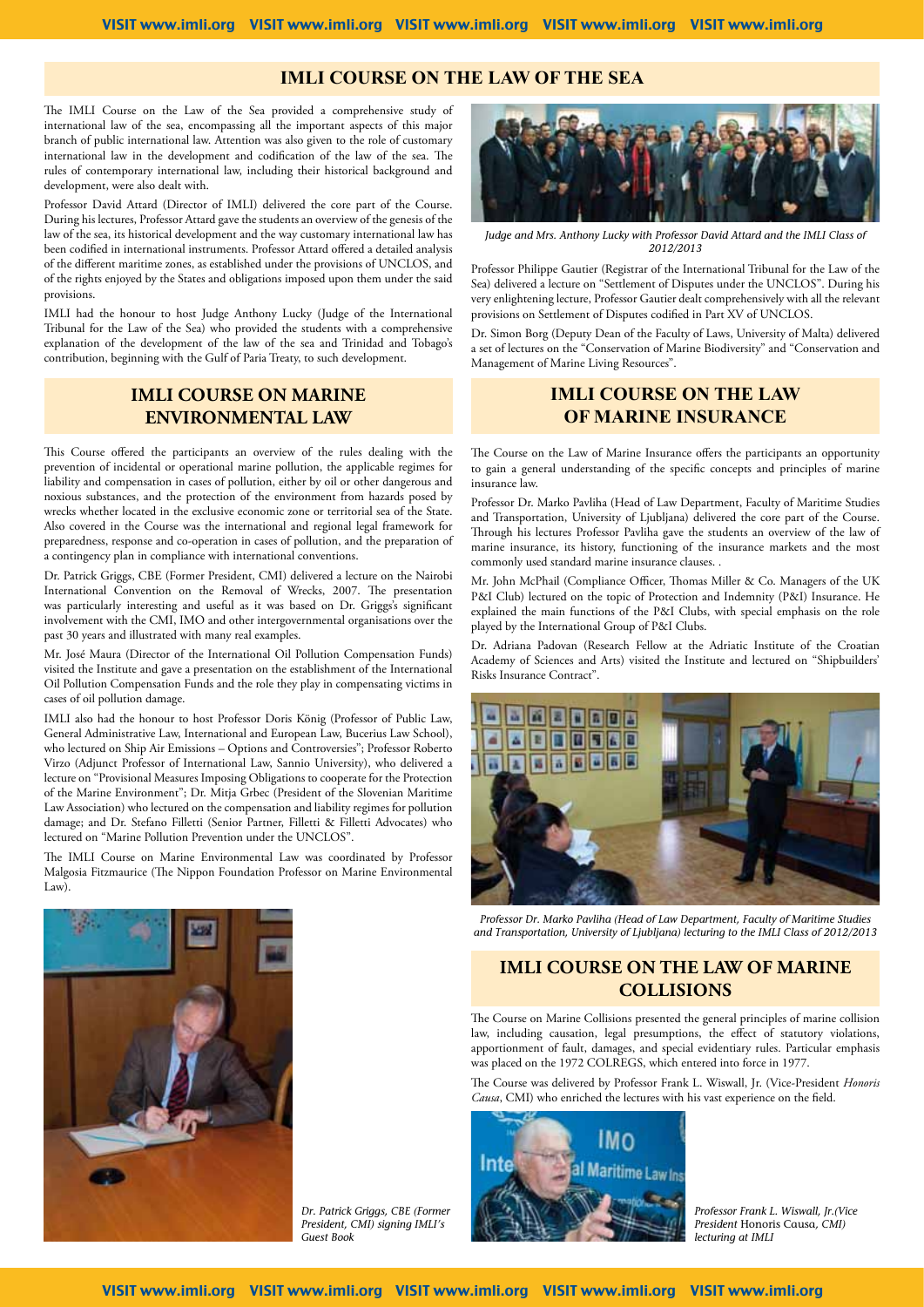#### **IMLI COURSE ON THE LAW OF THE SEA**

The IMLI Course on the Law of the Sea provided a comprehensive study of international law of the sea, encompassing all the important aspects of this major branch of public international law. Attention was also given to the role of customary international law in the development and codification of the law of the sea. The rules of contemporary international law, including their historical background and development, were also dealt with.

Professor David Attard (Director of IMLI) delivered the core part of the Course. During his lectures, Professor Attard gave the students an overview of the genesis of the law of the sea, its historical development and the way customary international law has been codified in international instruments. Professor Attard offered a detailed analysis of the different maritime zones, as established under the provisions of UNCLOS, and of the rights enjoyed by the States and obligations imposed upon them under the said provisions.

IMLI had the honour to host Judge Anthony Lucky (Judge of the International Tribunal for the Law of the Sea) who provided the students with a comprehensive explanation of the development of the law of the sea and Trinidad and Tobago's contribution, beginning with the Gulf of Paria Treaty, to such development.

#### **IMLI COURSE ON MARINE ENVIRONMENTAL LAW**

This Course offered the participants an overview of the rules dealing with the prevention of incidental or operational marine pollution, the applicable regimes for liability and compensation in cases of pollution, either by oil or other dangerous and noxious substances, and the protection of the environment from hazards posed by wrecks whether located in the exclusive economic zone or territorial sea of the State. Also covered in the Course was the international and regional legal framework for preparedness, response and co-operation in cases of pollution, and the preparation of a contingency plan in compliance with international conventions.

Dr. Patrick Griggs, CBE (Former President, CMI) delivered a lecture on the Nairobi International Convention on the Removal of Wrecks, 2007. The presentation was particularly interesting and useful as it was based on Dr. Griggs's significant involvement with the CMI, IMO and other intergovernmental organisations over the past 30 years and illustrated with many real examples.

Mr. José Maura (Director of the International Oil Pollution Compensation Funds) visited the Institute and gave a presentation on the establishment of the International Oil Pollution Compensation Funds and the role they play in compensating victims in cases of oil pollution damage.

IMLI also had the honour to host Professor Doris König (Professor of Public Law, General Administrative Law, International and European Law, Bucerius Law School), who lectured on Ship Air Emissions – Options and Controversies"; Professor Roberto Virzo (Adjunct Professor of International Law, Sannio University), who delivered a lecture on "Provisional Measures Imposing Obligations to cooperate for the Protection of the Marine Environment"; Dr. Mitja Grbec (President of the Slovenian Maritime Law Association) who lectured on the compensation and liability regimes for pollution damage; and Dr. Stefano Filletti (Senior Partner, Filletti & Filletti Advocates) who lectured on "Marine Pollution Prevention under the UNCLOS".

The IMLI Course on Marine Environmental Law was coordinated by Professor Malgosia Fitzmaurice (The Nippon Foundation Professor on Marine Environmental Law).



*Judge and Mrs. Anthony Lucky with Professor David Attard and the IMLI Class of 2012/2013* 

Professor Philippe Gautier (Registrar of the International Tribunal for the Law of the Sea) delivered a lecture on "Settlement of Disputes under the UNCLOS". During his very enlightening lecture, Professor Gautier dealt comprehensively with all the relevant provisions on Settlement of Disputes codified in Part XV of UNCLOS.

Dr. Simon Borg (Deputy Dean of the Faculty of Laws, University of Malta) delivered a set of lectures on the "Conservation of Marine Biodiversity" and "Conservation and Management of Marine Living Resources".

### **IMLI COURSE ON THE LAW OF MARINE INSURANCE**

The Course on the Law of Marine Insurance offers the participants an opportunity to gain a general understanding of the specific concepts and principles of marine insurance law.

Professor Dr. Marko Pavliha (Head of Law Department, Faculty of Maritime Studies and Transportation, University of Ljubljana) delivered the core part of the Course. Through his lectures Professor Pavliha gave the students an overview of the law of marine insurance, its history, functioning of the insurance markets and the most commonly used standard marine insurance clauses. .

Mr. John McPhail (Compliance Officer, Thomas Miller & Co. Managers of the UK P&I Club) lectured on the topic of Protection and Indemnity (P&I) Insurance. He explained the main functions of the P&I Clubs, with special emphasis on the role played by the International Group of P&I Clubs.

Dr. Adriana Padovan (Research Fellow at the Adriatic Institute of the Croatian Academy of Sciences and Arts) visited the Institute and lectured on "Shipbuilders' Risks Insurance Contract".



*Professor Dr. Marko Pavliha (Head of Law Department, Faculty of Maritime Studies and Transportation, University of Ljubljana) lecturing to the IMLI Class of 2012/2013*

### **IMLI COURSE ON THE LAW OF MARINE COLLISIONS**

The Course on Marine Collisions presented the general principles of marine collision law, including causation, legal presumptions, the effect of statutory violations, apportionment of fault, damages, and special evidentiary rules. Particular emphasis was placed on the 1972 COLREGS, which entered into force in 1977.

The Course was delivered by Professor Frank L. Wiswall, Jr. (Vice-President *Honoris Causa*, CMI) who enriched the lectures with his vast experience on the field.



*Professor Frank L. Wiswall, Jr.(Vice President* Honoris Causa*, CMI) lecturing at IMLI*



*Dr. Patrick Griggs, CBE (Former President, CMI) signing IMLI's Guest Book*